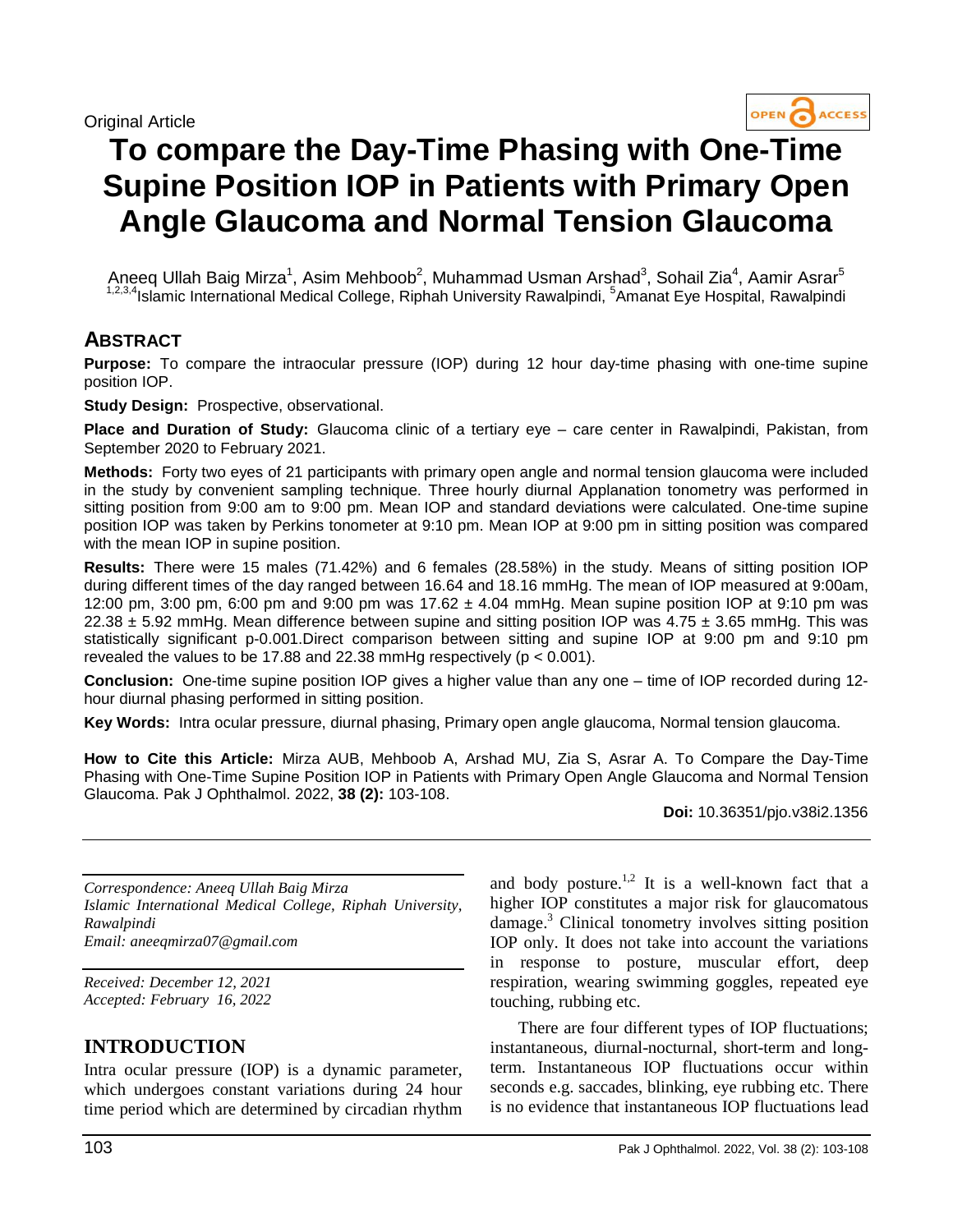#### Original Article



# **To compare the Day-Time Phasing with One-Time Supine Position IOP in Patients with Primary Open Angle Glaucoma and Normal Tension Glaucoma**

Aneeq Ullah Baig Mirza<sup>1</sup>, Asim Mehboob<sup>2</sup>, Muhammad Usman Arshad<sup>3</sup>, Sohail Zia<sup>4</sup>, Aamir Asrar<sup>5</sup> <sup>1,2,3,4</sup>Islamic International Medical College, Riphah University Rawalpindi, <sup>5</sup>Amanat Eye Hospital, Rawalpindi

## **ABSTRACT**

**Purpose:** To compare the intraocular pressure (IOP) during 12 hour day-time phasing with one-time supine position IOP.

**Study Design:** Prospective, observational.

**Place and Duration of Study:** Glaucoma clinic of a tertiary eye – care center in Rawalpindi, Pakistan, from September 2020 to February 2021.

**Methods:** Forty two eyes of 21 participants with primary open angle and normal tension glaucoma were included in the study by convenient sampling technique. Three hourly diurnal Applanation tonometry was performed in sitting position from 9:00 am to 9:00 pm. Mean IOP and standard deviations were calculated. One-time supine position IOP was taken by Perkins tonometer at 9:10 pm. Mean IOP at 9:00 pm in sitting position was compared with the mean IOP in supine position.

**Results:** There were 15 males (71.42%) and 6 females (28.58%) in the study. Means of sitting position IOP during different times of the day ranged between 16.64 and 18.16 mmHg. The mean of IOP measured at 9:00am, 12:00 pm, 3:00 pm, 6:00 pm and 9:00 pm was  $17.62 \pm 4.04$  mmHg. Mean supine position IOP at 9:10 pm was 22.38  $\pm$  5.92 mmHg. Mean difference between supine and sitting position IOP was 4.75  $\pm$  3.65 mmHg. This was statistically significant p-0.001.Direct comparison between sitting and supine IOP at 9:00 pm and 9:10 pm revealed the values to be 17.88 and 22.38 mmHg respectively (p < 0.001).

**Conclusion:** One-time supine position IOP gives a higher value than any one – time of IOP recorded during 12 hour diurnal phasing performed in sitting position.

**Key Words:** Intra ocular pressure, diurnal phasing, Primary open angle glaucoma, Normal tension glaucoma.

**How to Cite this Article:** Mirza AUB, Mehboob A, Arshad MU, Zia S, Asrar A. To Compare the Day-Time Phasing with One-Time Supine Position IOP in Patients with Primary Open Angle Glaucoma and Normal Tension Glaucoma. Pak J Ophthalmol. 2022, **38 (2):** 103-108.

**Doi:** 10.36351/pjo.v38i2.1356

*Correspondence: Aneeq Ullah Baig Mirza Islamic International Medical College, Riphah University, Rawalpindi Email: aneeqmirza07@gmail.com*

*Received: December 12, 2021 Accepted: February 16, 2022*

## **INTRODUCTION**

Intra ocular pressure (IOP) is a dynamic parameter, which undergoes constant variations during 24 hour time period which are determined by circadian rhythm

and body posture.<sup>1,2</sup> It is a well-known fact that a higher IOP constitutes a major risk for glaucomatous damage. <sup>3</sup> Clinical tonometry involves sitting position IOP only. It does not take into account the variations in response to posture, muscular effort, deep respiration, wearing swimming goggles, repeated eye touching, rubbing etc.

There are four different types of IOP fluctuations; instantaneous, diurnal-nocturnal, short-term and longterm. Instantaneous IOP fluctuations occur within seconds e.g. saccades, blinking, eye rubbing etc. There is no evidence that instantaneous IOP fluctuations lead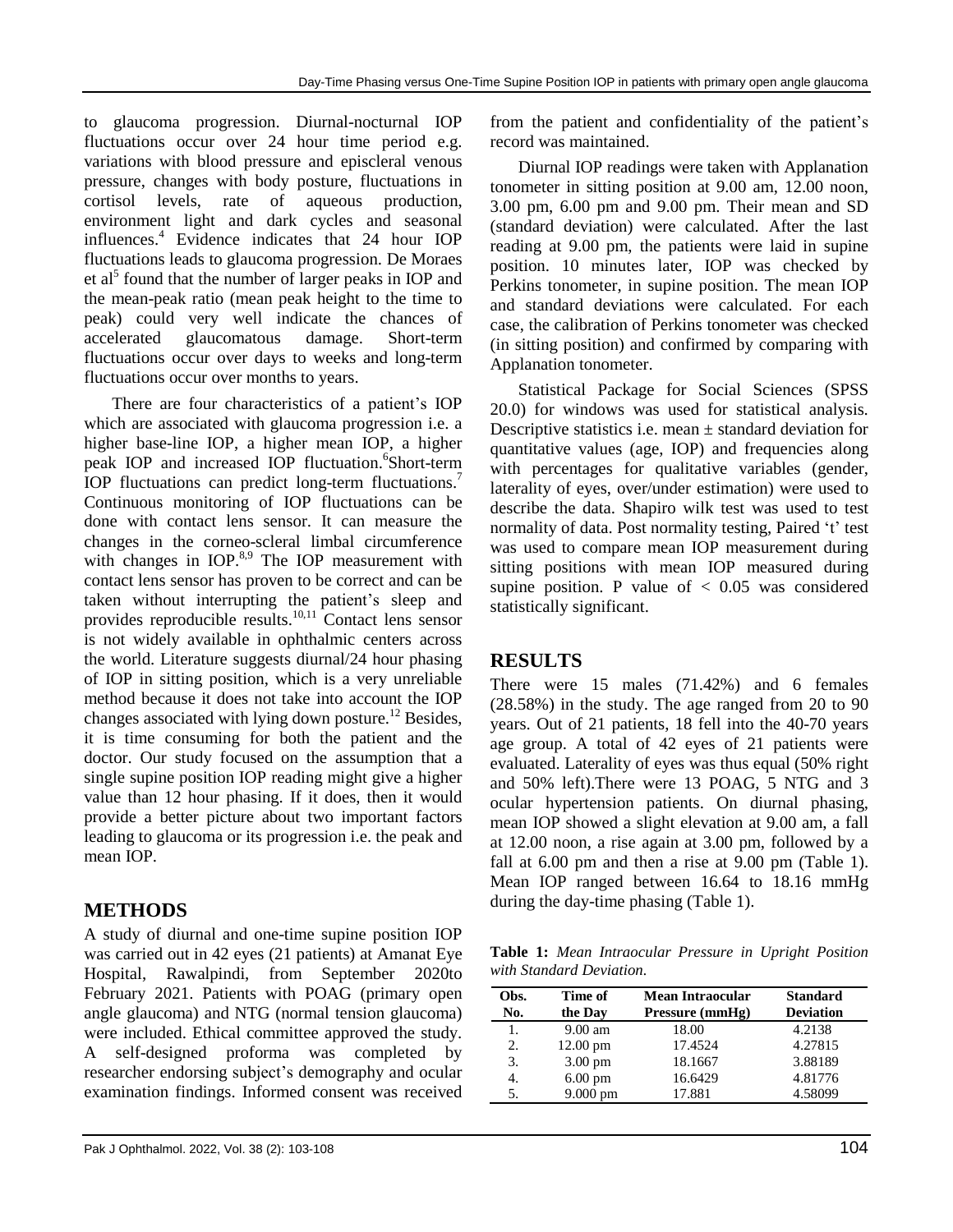to glaucoma progression. Diurnal-nocturnal IOP fluctuations occur over 24 hour time period e.g. variations with blood pressure and episcleral venous pressure, changes with body posture, fluctuations in cortisol levels, rate of aqueous production, environment light and dark cycles and seasonal influences. <sup>4</sup> Evidence indicates that 24 hour IOP fluctuations leads to glaucoma progression. De Moraes et al<sup>5</sup> found that the number of larger peaks in IOP and the mean-peak ratio (mean peak height to the time to peak) could very well indicate the chances of accelerated glaucomatous damage. Short-term fluctuations occur over days to weeks and long-term fluctuations occur over months to years.

There are four characteristics of a patient's IOP which are associated with glaucoma progression i.e. a higher base-line IOP, a higher mean IOP, a higher peak IOP and increased IOP fluctuation. 6 Short-term IOP fluctuations can predict long-term fluctuations.<sup>7</sup> Continuous monitoring of IOP fluctuations can be done with contact lens sensor. It can measure the changes in the corneo-scleral limbal circumference with changes in IOP.<sup>8,9</sup> The IOP measurement with contact lens sensor has proven to be correct and can be taken without interrupting the patient's sleep and provides reproducible results. 10,11 Contact lens sensor is not widely available in ophthalmic centers across the world. Literature suggests diurnal/24 hour phasing of IOP in sitting position, which is a very unreliable method because it does not take into account the IOP changes associated with lying down posture.<sup>12</sup> Besides, it is time consuming for both the patient and the doctor. Our study focused on the assumption that a single supine position IOP reading might give a higher value than 12 hour phasing. If it does, then it would provide a better picture about two important factors leading to glaucoma or its progression i.e. the peak and mean IOP.

# **METHODS**

A study of diurnal and one-time supine position IOP was carried out in 42 eyes (21 patients) at Amanat Eye Hospital, Rawalpindi, from September 2020to February 2021. Patients with POAG (primary open angle glaucoma) and NTG (normal tension glaucoma) were included. Ethical committee approved the study. A self-designed proforma was completed by researcher endorsing subject's demography and ocular examination findings. Informed consent was received from the patient and confidentiality of the patient's record was maintained.

Diurnal IOP readings were taken with Applanation tonometer in sitting position at 9.00 am, 12.00 noon, 3.00 pm, 6.00 pm and 9.00 pm. Their mean and SD (standard deviation) were calculated. After the last reading at 9.00 pm, the patients were laid in supine position. 10 minutes later, IOP was checked by Perkins tonometer, in supine position. The mean IOP and standard deviations were calculated. For each case, the calibration of Perkins tonometer was checked (in sitting position) and confirmed by comparing with Applanation tonometer.

Statistical Package for Social Sciences (SPSS 20.0) for windows was used for statistical analysis. Descriptive statistics i.e. mean  $\pm$  standard deviation for quantitative values (age, IOP) and frequencies along with percentages for qualitative variables (gender, laterality of eyes, over/under estimation) were used to describe the data. Shapiro wilk test was used to test normality of data. Post normality testing, Paired 't' test was used to compare mean IOP measurement during sitting positions with mean IOP measured during supine position. P value of  $< 0.05$  was considered statistically significant.

## **RESULTS**

There were 15 males (71.42%) and 6 females (28.58%) in the study. The age ranged from 20 to 90 years. Out of 21 patients, 18 fell into the 40-70 years age group. A total of 42 eyes of 21 patients were evaluated. Laterality of eyes was thus equal (50% right and 50% left).There were 13 POAG, 5 NTG and 3 ocular hypertension patients. On diurnal phasing, mean IOP showed a slight elevation at 9.00 am, a fall at 12.00 noon, a rise again at 3.00 pm, followed by a fall at 6.00 pm and then a rise at 9.00 pm (Table 1). Mean IOP ranged between 16.64 to 18.16 mmHg during the day-time phasing (Table 1).

**Table 1:** *Mean Intraocular Pressure in Upright Position with Standard Deviation.*

| Obs.<br>No. | Time of<br>the Day | Mean Intraocular<br>Pressure (mmHg) | <b>Standard</b><br><b>Deviation</b> |
|-------------|--------------------|-------------------------------------|-------------------------------------|
| 1.          | $9.00 \text{ am}$  | 18.00                               | 4.2138                              |
| 2.          | $12.00 \text{ pm}$ | 17.4524                             | 4.27815                             |
| 3.          | $3.00 \text{ pm}$  | 18.1667                             | 3.88189                             |
| 4.          | $6.00 \text{ pm}$  | 16.6429                             | 4.81776                             |
| 5.          | 9.000 pm           | 17.881                              | 4.58099                             |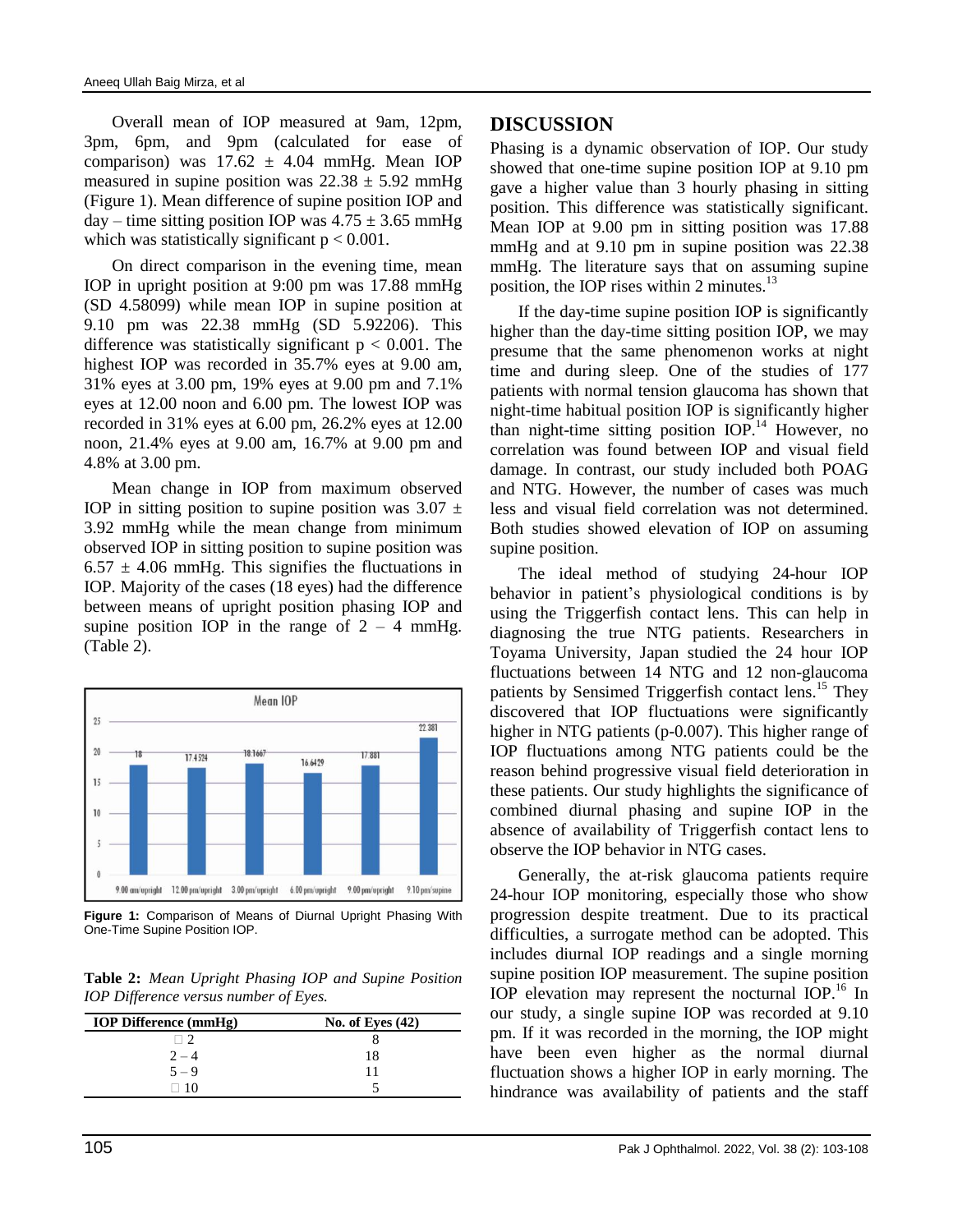Overall mean of IOP measured at 9am, 12pm, 3pm, 6pm, and 9pm (calculated for ease of comparison) was  $17.62 \pm 4.04$  mmHg. Mean IOP measured in supine position was  $22.38 \pm 5.92$  mmHg (Figure 1). Mean difference of supine position IOP and day – time sitting position IOP was  $4.75 \pm 3.65$  mmHg which was statistically significant  $p < 0.001$ .

On direct comparison in the evening time, mean IOP in upright position at 9:00 pm was 17.88 mmHg (SD 4.58099) while mean IOP in supine position at 9.10 pm was 22.38 mmHg (SD 5.92206). This difference was statistically significant  $p < 0.001$ . The highest IOP was recorded in 35.7% eyes at 9.00 am, 31% eyes at 3.00 pm, 19% eyes at 9.00 pm and 7.1% eyes at 12.00 noon and 6.00 pm. The lowest IOP was recorded in 31% eyes at 6.00 pm, 26.2% eyes at 12.00 noon, 21.4% eyes at 9.00 am, 16.7% at 9.00 pm and 4.8% at 3.00 pm.

Mean change in IOP from maximum observed IOP in sitting position to supine position was  $3.07 \pm$ 3.92 mmHg while the mean change from minimum observed IOP in sitting position to supine position was  $6.57 \pm 4.06$  mmHg. This signifies the fluctuations in IOP. Majority of the cases (18 eyes) had the difference between means of upright position phasing IOP and supine position IOP in the range of  $2 - 4$  mmHg. (Table 2).



**Figure 1:** Comparison of Means of Diurnal Upright Phasing With One-Time Supine Position IOP.

**Table 2:** *Mean Upright Phasing IOP and Supine Position IOP Difference versus number of Eyes.*

| <b>IOP Difference (mmHg)</b> | No. of Eyes $(42)$ |  |
|------------------------------|--------------------|--|
|                              |                    |  |
| $2 - 4$                      | 18                 |  |
| $5 - 9$                      |                    |  |
|                              |                    |  |

## **DISCUSSION**

Phasing is a dynamic observation of IOP. Our study showed that one-time supine position IOP at 9.10 pm gave a higher value than 3 hourly phasing in sitting position. This difference was statistically significant. Mean IOP at 9.00 pm in sitting position was 17.88 mmHg and at 9.10 pm in supine position was 22.38 mmHg. The literature says that on assuming supine position, the IOP rises within 2 minutes. $^{13}$ 

If the day-time supine position IOP is significantly higher than the day-time sitting position IOP, we may presume that the same phenomenon works at night time and during sleep. One of the studies of 177 patients with normal tension glaucoma has shown that night-time habitual position IOP is significantly higher than night-time sitting position IOP. <sup>14</sup> However, no correlation was found between IOP and visual field damage. In contrast, our study included both POAG and NTG. However, the number of cases was much less and visual field correlation was not determined. Both studies showed elevation of IOP on assuming supine position.

The ideal method of studying 24-hour IOP behavior in patient's physiological conditions is by using the Triggerfish contact lens. This can help in diagnosing the true NTG patients. Researchers in Toyama University, Japan studied the 24 hour IOP fluctuations between 14 NTG and 12 non-glaucoma patients by Sensimed Triggerfish contact lens.<sup>15</sup> They discovered that IOP fluctuations were significantly higher in NTG patients (p-0.007). This higher range of IOP fluctuations among NTG patients could be the reason behind progressive visual field deterioration in these patients. Our study highlights the significance of combined diurnal phasing and supine IOP in the absence of availability of Triggerfish contact lens to observe the IOP behavior in NTG cases.

Generally, the at-risk glaucoma patients require 24-hour IOP monitoring, especially those who show progression despite treatment. Due to its practical difficulties, a surrogate method can be adopted. This includes diurnal IOP readings and a single morning supine position IOP measurement. The supine position IOP elevation may represent the nocturnal IOP.<sup>16</sup> In our study, a single supine IOP was recorded at 9.10 pm. If it was recorded in the morning, the IOP might have been even higher as the normal diurnal fluctuation shows a higher IOP in early morning. The hindrance was availability of patients and the staff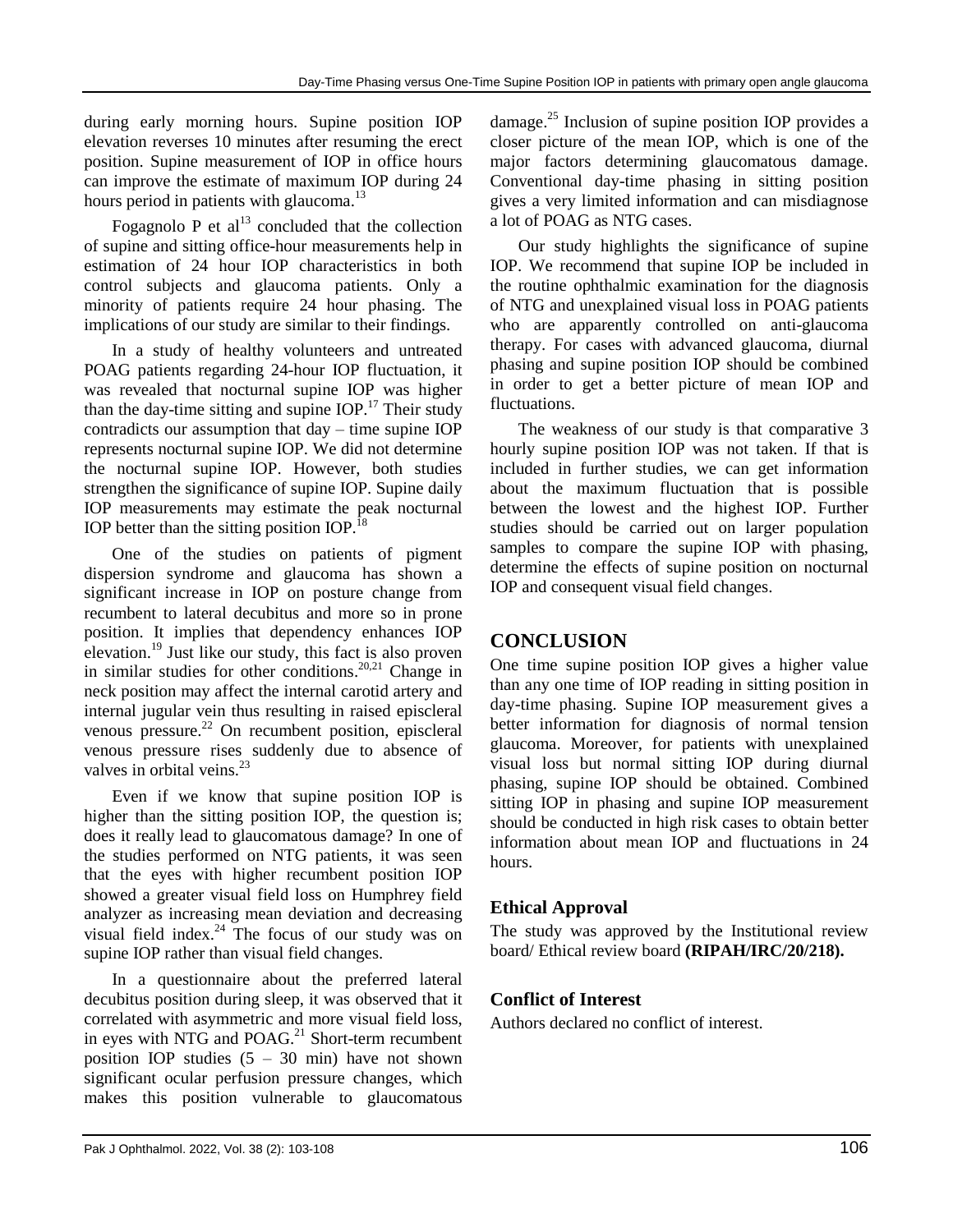during early morning hours. Supine position IOP elevation reverses 10 minutes after resuming the erect position. Supine measurement of IOP in office hours can improve the estimate of maximum IOP during 24 hours period in patients with glaucoma.<sup>13</sup>

Fogagnolo P et  $al<sup>13</sup>$  concluded that the collection of supine and sitting office-hour measurements help in estimation of 24 hour IOP characteristics in both control subjects and glaucoma patients. Only a minority of patients require 24 hour phasing. The implications of our study are similar to their findings.

In a study of healthy volunteers and untreated POAG patients regarding 24-hour IOP fluctuation, it was revealed that nocturnal supine IOP was higher than the day-time sitting and supine  $IOP<sup>17</sup>$ . Their study contradicts our assumption that day – time supine IOP represents nocturnal supine IOP. We did not determine the nocturnal supine IOP. However, both studies strengthen the significance of supine IOP. Supine daily IOP measurements may estimate the peak nocturnal IOP better than the sitting position IOP.<sup>18</sup>

One of the studies on patients of pigment dispersion syndrome and glaucoma has shown a significant increase in IOP on posture change from recumbent to lateral decubitus and more so in prone position. It implies that dependency enhances IOP elevation.<sup>19</sup> Just like our study, this fact is also proven in similar studies for other conditions.<sup>20,21</sup> Change in neck position may affect the internal carotid artery and internal jugular vein thus resulting in raised episcleral venous pressure. <sup>22</sup> On recumbent position, episcleral venous pressure rises suddenly due to absence of valves in orbital veins.<sup>23</sup>

Even if we know that supine position IOP is higher than the sitting position IOP, the question is; does it really lead to glaucomatous damage? In one of the studies performed on NTG patients, it was seen that the eyes with higher recumbent position IOP showed a greater visual field loss on Humphrey field analyzer as increasing mean deviation and decreasing visual field index. $^{24}$  The focus of our study was on supine IOP rather than visual field changes.

In a questionnaire about the preferred lateral decubitus position during sleep, it was observed that it correlated with asymmetric and more visual field loss, in eyes with NTG and POAG.<sup>21</sup> Short-term recumbent position IOP studies  $(5 - 30 \text{ min})$  have not shown significant ocular perfusion pressure changes, which makes this position vulnerable to glaucomatous

damage. <sup>25</sup> Inclusion of supine position IOP provides a closer picture of the mean IOP, which is one of the major factors determining glaucomatous damage. Conventional day-time phasing in sitting position gives a very limited information and can misdiagnose a lot of POAG as NTG cases.

Our study highlights the significance of supine IOP. We recommend that supine IOP be included in the routine ophthalmic examination for the diagnosis of NTG and unexplained visual loss in POAG patients who are apparently controlled on anti-glaucoma therapy. For cases with advanced glaucoma, diurnal phasing and supine position IOP should be combined in order to get a better picture of mean IOP and fluctuations.

The weakness of our study is that comparative 3 hourly supine position IOP was not taken. If that is included in further studies, we can get information about the maximum fluctuation that is possible between the lowest and the highest IOP. Further studies should be carried out on larger population samples to compare the supine IOP with phasing, determine the effects of supine position on nocturnal IOP and consequent visual field changes.

# **CONCLUSION**

One time supine position IOP gives a higher value than any one time of IOP reading in sitting position in day-time phasing. Supine IOP measurement gives a better information for diagnosis of normal tension glaucoma. Moreover, for patients with unexplained visual loss but normal sitting IOP during diurnal phasing, supine IOP should be obtained. Combined sitting IOP in phasing and supine IOP measurement should be conducted in high risk cases to obtain better information about mean IOP and fluctuations in 24 hours.

## **Ethical Approval**

The study was approved by the Institutional review board/ Ethical review board **(RIPAH/IRC/20/218).**

## **Conflict of Interest**

Authors declared no conflict of interest.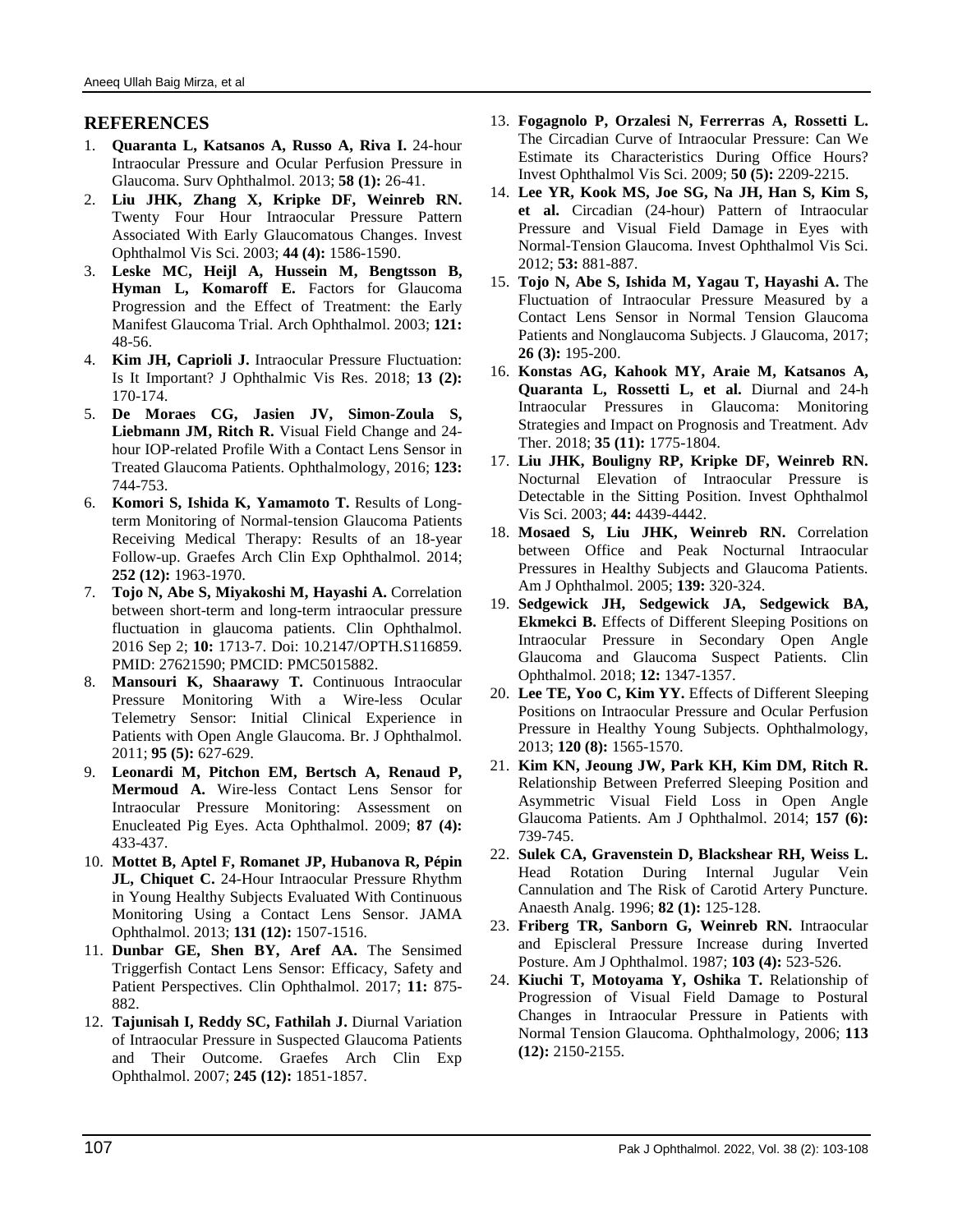#### **REFERENCES**

- 1. **Quaranta L, Katsanos A, Russo A, Riva I.** 24-hour Intraocular Pressure and Ocular Perfusion Pressure in Glaucoma. Surv Ophthalmol. 2013; **58 (1):** 26-41.
- 2. **Liu JHK, Zhang X, Kripke DF, Weinreb RN.** Twenty Four Hour Intraocular Pressure Pattern Associated With Early Glaucomatous Changes. Invest Ophthalmol Vis Sci. 2003; **44 (4):** 1586-1590.
- 3. **Leske MC, Heijl A, Hussein M, Bengtsson B, Hyman L, Komaroff E.** Factors for Glaucoma Progression and the Effect of Treatment: the Early Manifest Glaucoma Trial. Arch Ophthalmol. 2003; **121:** 48-56.
- 4. **Kim JH, Caprioli J.** Intraocular Pressure Fluctuation: Is It Important? J Ophthalmic Vis Res. 2018; **13 (2):** 170-174.
- 5. **De Moraes CG, Jasien JV, Simon-Zoula S, Liebmann JM, Ritch R.** Visual Field Change and 24 hour IOP-related Profile With a Contact Lens Sensor in Treated Glaucoma Patients. Ophthalmology, 2016; **123:** 744-753.
- 6. **Komori S, Ishida K, Yamamoto T.** Results of Longterm Monitoring of Normal-tension Glaucoma Patients Receiving Medical Therapy: Results of an 18-year Follow-up. Graefes Arch Clin Exp Ophthalmol. 2014; **252 (12):** 1963-1970.
- 7. **Tojo N, Abe S, Miyakoshi M, Hayashi A.** Correlation between short-term and long-term intraocular pressure fluctuation in glaucoma patients. Clin Ophthalmol. 2016 Sep 2; **10:** 1713-7. Doi: 10.2147/OPTH.S116859. PMID: 27621590; PMCID: PMC5015882.
- 8. **Mansouri K, Shaarawy T.** Continuous Intraocular Pressure Monitoring With a Wire-less Ocular Telemetry Sensor: Initial Clinical Experience in Patients with Open Angle Glaucoma. Br. J Ophthalmol. 2011; **95 (5):** 627-629.
- 9. **Leonardi M, Pitchon EM, Bertsch A, Renaud P, Mermoud A.** Wire-less Contact Lens Sensor for Intraocular Pressure Monitoring: Assessment on Enucleated Pig Eyes. Acta Ophthalmol. 2009; **87 (4):** 433-437.
- 10. **Mottet B, Aptel F, Romanet JP, Hubanova R, Pépin JL, Chiquet C.** 24-Hour Intraocular Pressure Rhythm in Young Healthy Subjects Evaluated With Continuous Monitoring Using a Contact Lens Sensor. JAMA Ophthalmol. 2013; **131 (12):** 1507-1516.
- 11. **Dunbar GE, Shen BY, Aref AA.** The Sensimed Triggerfish Contact Lens Sensor: Efficacy, Safety and Patient Perspectives. Clin Ophthalmol. 2017; **11:** 875- 882.
- 12. **Tajunisah I, Reddy SC, Fathilah J.** Diurnal Variation of Intraocular Pressure in Suspected Glaucoma Patients and Their Outcome. Graefes Arch Clin Exp Ophthalmol. 2007; **245 (12):** 1851-1857.
- 13. **Fogagnolo P, Orzalesi N, Ferrerras A, Rossetti L.** The Circadian Curve of Intraocular Pressure: Can We Estimate its Characteristics During Office Hours? Invest Ophthalmol Vis Sci. 2009; **50 (5):** 2209-2215.
- 14. **Lee YR, Kook MS, Joe SG, Na JH, Han S, Kim S, et al.** Circadian (24-hour) Pattern of Intraocular Pressure and Visual Field Damage in Eyes with Normal-Tension Glaucoma. Invest Ophthalmol Vis Sci. 2012; **53:** 881-887.
- 15. **Tojo N, Abe S, Ishida M, Yagau T, Hayashi A.** The Fluctuation of Intraocular Pressure Measured by a Contact Lens Sensor in Normal Tension Glaucoma Patients and Nonglaucoma Subjects. J Glaucoma, 2017; **26 (3):** 195-200.
- 16. **Konstas AG, Kahook MY, Araie M, Katsanos A, Quaranta L, Rossetti L, et al.** Diurnal and 24-h Intraocular Pressures in Glaucoma: Monitoring Strategies and Impact on Prognosis and Treatment. Adv Ther. 2018; **35 (11):** 1775-1804.
- 17. **Liu JHK, Bouligny RP, Kripke DF, Weinreb RN.** Nocturnal Elevation of Intraocular Pressure is Detectable in the Sitting Position. Invest Ophthalmol Vis Sci. 2003; **44:** 4439-4442.
- 18. **Mosaed S, Liu JHK, Weinreb RN.** Correlation between Office and Peak Nocturnal Intraocular Pressures in Healthy Subjects and Glaucoma Patients. Am J Ophthalmol. 2005; **139:** 320-324.
- 19. **Sedgewick JH, Sedgewick JA, Sedgewick BA, Ekmekci B.** Effects of Different Sleeping Positions on Intraocular Pressure in Secondary Open Angle Glaucoma and Glaucoma Suspect Patients. Clin Ophthalmol. 2018; **12:** 1347-1357.
- 20. **Lee TE, Yoo C, Kim YY.** Effects of Different Sleeping Positions on Intraocular Pressure and Ocular Perfusion Pressure in Healthy Young Subjects. Ophthalmology, 2013; **120 (8):** 1565-1570.
- 21. **Kim KN, Jeoung JW, Park KH, Kim DM, Ritch R.** Relationship Between Preferred Sleeping Position and Asymmetric Visual Field Loss in Open Angle Glaucoma Patients. Am J Ophthalmol. 2014; **157 (6):** 739-745.
- 22. **Sulek CA, Gravenstein D, Blackshear RH, Weiss L.** Head Rotation During Internal Jugular Vein Cannulation and The Risk of Carotid Artery Puncture. Anaesth Analg. 1996; **82 (1):** 125-128.
- 23. **Friberg TR, Sanborn G, Weinreb RN.** Intraocular and Episcleral Pressure Increase during Inverted Posture. Am J Ophthalmol. 1987; **103 (4):** 523-526.
- 24. **Kiuchi T, Motoyama Y, Oshika T.** Relationship of Progression of Visual Field Damage to Postural Changes in Intraocular Pressure in Patients with Normal Tension Glaucoma. Ophthalmology, 2006; **113 (12):** 2150-2155.